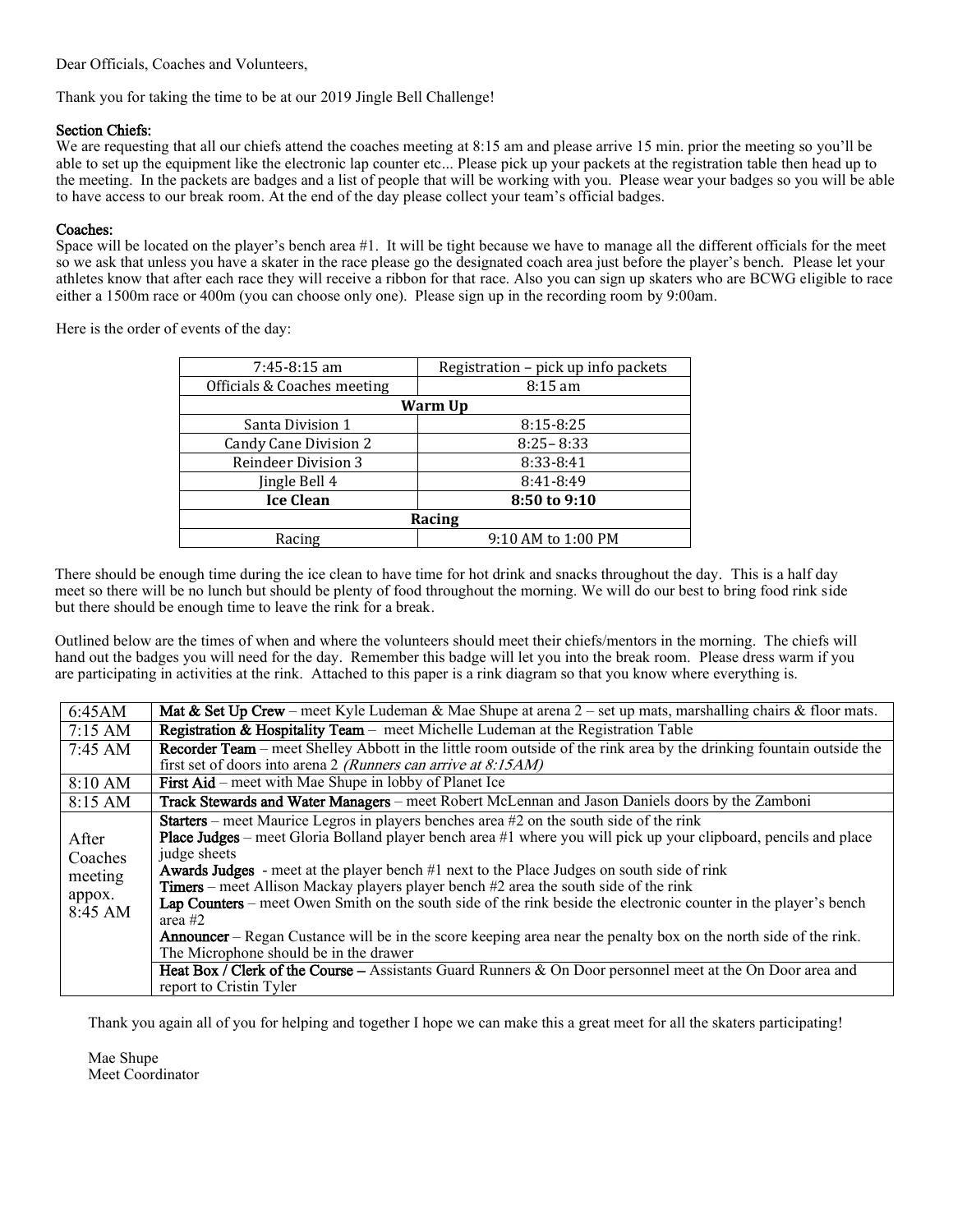Dear Officials, Coaches and Volunteers,

Thank you for taking the time to be at our 2019 Jingle Bell Challenge!

# Section Chiefs:

We are requesting that all our chiefs attend the coaches meeting at 8:15 am and please arrive 15 min. prior the meeting so you'll be able to set up the equipment like the electronic lap counter etc... Please pick up your packets at the registration table then head up to the meeting. In the packets are badges and a list of people that will be working with you. Please wear your badges so you will be able to have access to our break room. At the end of the day please collect your team's official badges.

# Coaches:

Space will be located on the player's bench area #1. It will be tight because we have to manage all the different officials for the meet so we ask that unless you have a skater in the race please go the designated coach area just before the player's bench. Please let your athletes know that after each race they will receive a ribbon for that race. Also you can sign up skaters who are BCWG eligible to race either a 1500m race or 400m (you can choose only one). Please sign up in the recording room by 9:00am.

Here is the order of events of the day:

| $7:45-8:15$ am               | Registration – pick up info packets |
|------------------------------|-------------------------------------|
| Officials & Coaches meeting  | $8:15 \text{ am}$                   |
| Warm Up                      |                                     |
| Santa Division 1             | $8:15 - 8:25$                       |
| <b>Candy Cane Division 2</b> | $8:25 - 8:33$                       |
| <b>Reindeer Division 3</b>   | 8:33-8:41                           |
| Jingle Bell 4                | 8:41-8:49                           |
| <b>Ice Clean</b>             | 8:50 to 9:10                        |
| Racing                       |                                     |
| Racing                       | 9:10 AM to 1:00 PM                  |

There should be enough time during the ice clean to have time for hot drink and snacks throughout the day. This is a half day meet so there will be no lunch but should be plenty of food throughout the morning. We will do our best to bring food rink side but there should be enough time to leave the rink for a break.

Outlined below are the times of when and where the volunteers should meet their chiefs/mentors in the morning. The chiefs will hand out the badges you will need for the day. Remember this badge will let you into the break room. Please dress warm if you are participating in activities at the rink. Attached to this paper is a rink diagram so that you know where everything is.

| 6:45AM            | Mat & Set Up Crew – meet Kyle Ludeman & Mae Shupe at arena $2$ – set up mats, marshalling chairs & floor mats.              |
|-------------------|-----------------------------------------------------------------------------------------------------------------------------|
| 7:15 AM           | <b>Registration &amp; Hospitality Team</b> – meet Michelle Ludeman at the Registration Table                                |
| $7:45 \text{ AM}$ | <b>Recorder Team</b> – meet Shelley Abbott in the little room outside of the rink area by the drinking fountain outside the |
|                   | first set of doors into arena 2 (Runners can arrive at 8:15AM)                                                              |
| 8:10 AM           | <b>First Aid</b> – meet with Mae Shupe in lobby of Planet Ice                                                               |
| 8:15 AM           | Track Stewards and Water Managers – meet Robert McLennan and Jason Daniels doors by the Zamboni                             |
|                   | <b>Starters</b> – meet Maurice Legros in players benches area #2 on the south side of the rink                              |
| After             | Place Judges – meet Gloria Bolland player bench area #1 where you will pick up your clipboard, pencils and place            |
| Coaches           | judge sheets                                                                                                                |
| meeting           | <b>Awards Judges</b> - meet at the player bench #1 next to the Place Judges on south side of rink                           |
| appox.            | <b>Timers</b> – meet Allison Mackay players player bench $#2$ area the south side of the rink                               |
| 8:45 AM           | Lap Counters – meet Owen Smith on the south side of the rink beside the electronic counter in the player's bench            |
|                   | area $#2$                                                                                                                   |
|                   | <b>Announcer</b> – Regan Custance will be in the score keeping area near the penalty box on the north side of the rink.     |
|                   | The Microphone should be in the drawer                                                                                      |
|                   | Heat Box / Clerk of the Course – Assistants Guard Runners & On Door personnel meet at the On Door area and                  |
|                   | report to Cristin Tyler                                                                                                     |

Thank you again all of you for helping and together I hope we can make this a great meet for all the skaters participating!

Mae Shupe Meet Coordinator